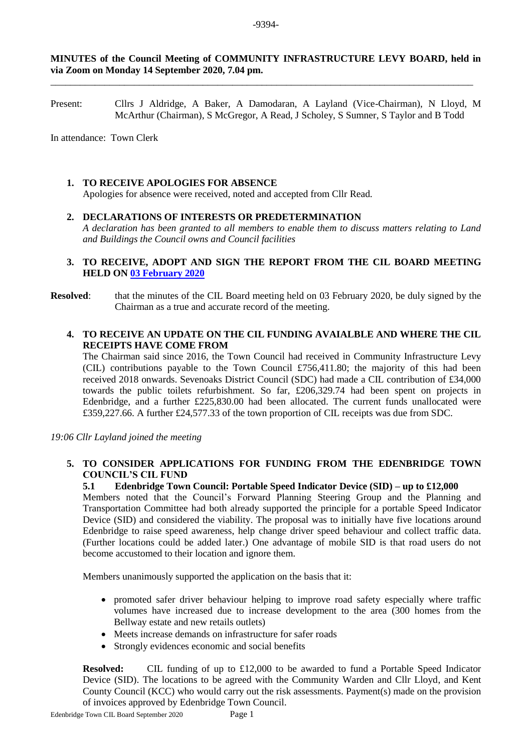#### **MINUTES of the Council Meeting of COMMUNITY INFRASTRUCTURE LEVY BOARD, held in via Zoom on Monday 14 September 2020, 7.04 pm.**

\_\_\_\_\_\_\_\_\_\_\_\_\_\_\_\_\_\_\_\_\_\_\_\_\_\_\_\_\_\_\_\_\_\_\_\_\_\_\_\_\_\_\_\_\_\_\_\_\_\_\_\_\_\_\_\_\_\_\_\_\_\_\_\_\_\_\_\_\_\_\_\_\_\_\_\_\_\_\_\_\_\_\_\_\_\_

Present: Cllrs J Aldridge, A Baker, A Damodaran, A Layland (Vice-Chairman), N Lloyd, M McArthur (Chairman), S McGregor, A Read, J Scholey, S Sumner, S Taylor and B Todd

In attendance: Town Clerk

#### **1. TO RECEIVE APOLOGIES FOR ABSENCE**

Apologies for absence were received, noted and accepted from Cllr Read.

**2. DECLARATIONS OF INTERESTS OR PREDETERMINATION**  *A declaration has been granted to all members to enable them to discuss matters relating to Land and Buildings the Council owns and Council facilities*

## **3. TO RECEIVE, ADOPT AND SIGN THE REPORT FROM THE CIL BOARD MEETING HELD ON [03 February 2020](https://www.edenbridgetowncouncil.gov.uk/mc-events/cil-board/?mc_id=561)**

**Resolved:** that the minutes of the CIL Board meeting held on 03 February 2020, be duly signed by the Chairman as a true and accurate record of the meeting.

### **4. TO RECEIVE AN UPDATE ON THE CIL FUNDING AVAIALBLE AND WHERE THE CIL RECEIPTS HAVE COME FROM**

The Chairman said since 2016, the Town Council had received in Community Infrastructure Levy (CIL) contributions payable to the Town Council £756,411.80; the majority of this had been received 2018 onwards. Sevenoaks District Council (SDC) had made a CIL contribution of £34,000 towards the public toilets refurbishment. So far, £206,329.74 had been spent on projects in Edenbridge, and a further £225,830.00 had been allocated. The current funds unallocated were £359,227.66. A further £24,577.33 of the town proportion of CIL receipts was due from SDC.

*19:06 Cllr Layland joined the meeting*

#### **5. TO CONSIDER APPLICATIONS FOR FUNDING FROM THE EDENBRIDGE TOWN COUNCIL'S CIL FUND**

#### **5.1 Edenbridge Town Council: Portable Speed Indicator Device (SID) – up to £12,000**

Members noted that the Council's Forward Planning Steering Group and the Planning and Transportation Committee had both already supported the principle for a portable Speed Indicator Device (SID) and considered the viability. The proposal was to initially have five locations around Edenbridge to raise speed awareness, help change driver speed behaviour and collect traffic data. (Further locations could be added later.) One advantage of mobile SID is that road users do not become accustomed to their location and ignore them.

Members unanimously supported the application on the basis that it:

- promoted safer driver behaviour helping to improve road safety especially where traffic volumes have increased due to increase development to the area (300 homes from the Bellway estate and new retails outlets)
- Meets increase demands on infrastructure for safer roads
- Strongly evidences economic and social benefits

**Resolved:** CIL funding of up to £12,000 to be awarded to fund a Portable Speed Indicator Device (SID). The locations to be agreed with the Community Warden and Cllr Lloyd, and Kent County Council (KCC) who would carry out the risk assessments. Payment(s) made on the provision of invoices approved by Edenbridge Town Council.